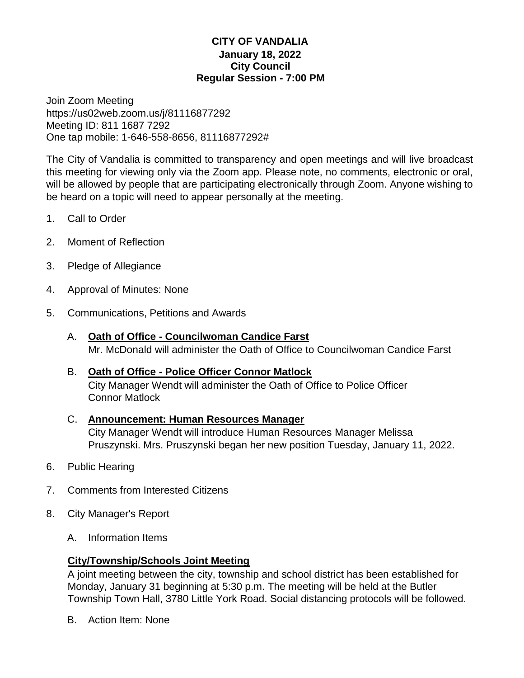### **CITY OF VANDALIA January 18, 2022 City Council Regular Session - 7:00 PM**

Join Zoom Meeting https://us02web.zoom.us/j/81116877292 Meeting ID: 811 1687 7292 One tap mobile: 1-646-558-8656, 81116877292#

The City of Vandalia is committed to transparency and open meetings and will live broadcast this meeting for viewing only via the Zoom app. Please note, no comments, electronic or oral, will be allowed by people that are participating electronically through Zoom. Anyone wishing to be heard on a topic will need to appear personally at the meeting.

- 1. Call to Order
- 2. Moment of Reflection
- 3. Pledge of Allegiance
- 4. Approval of Minutes: None
- 5. Communications, Petitions and Awards
	- A. **Oath of Office - Councilwoman Candice Farst** Mr. McDonald will administer the Oath of Office to Councilwoman Candice Farst

# B. **Oath of Office - Police Officer Connor Matlock**

City Manager Wendt will administer the Oath of Office to Police Officer Connor Matlock

#### C. **Announcement: Human Resources Manager** City Manager Wendt will introduce Human Resources Manager Melissa Pruszynski. Mrs. Pruszynski began her new position Tuesday, January 11, 2022.

- 6. Public Hearing
- 7. Comments from Interested Citizens
- 8. City Manager's Report
	- A. Information Items

## **City/Township/Schools Joint Meeting**

A joint meeting between the city, township and school district has been established for Monday, January 31 beginning at 5:30 p.m. The meeting will be held at the Butler Township Town Hall, 3780 Little York Road. Social distancing protocols will be followed.

B. Action Item: None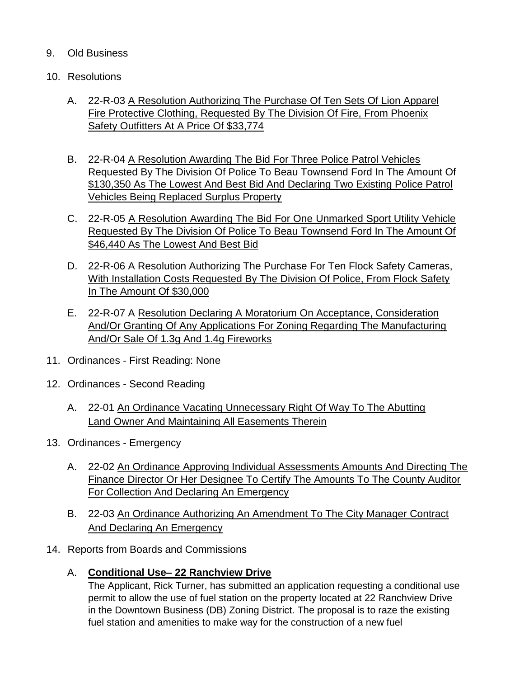### 9. Old Business

- 10. Resolutions
	- A. 22-R-03 A Resolution Authorizing The Purchase Of Ten Sets Of Lion Apparel Fire Protective Clothing, Requested By The Division Of Fire, From Phoenix Safety Outfitters At A Price Of \$33,774
	- B. 22-R-04 A Resolution Awarding The Bid For Three Police Patrol Vehicles Requested By The Division Of Police To Beau Townsend Ford In The Amount Of \$130,350 As The Lowest And Best Bid And Declaring Two Existing Police Patrol Vehicles Being Replaced Surplus Property
	- C. 22-R-05 A Resolution Awarding The Bid For One Unmarked Sport Utility Vehicle Requested By The Division Of Police To Beau Townsend Ford In The Amount Of \$46,440 As The Lowest And Best Bid
	- D. 22-R-06 A Resolution Authorizing The Purchase For Ten Flock Safety Cameras, With Installation Costs Requested By The Division Of Police, From Flock Safety In The Amount Of \$30,000
	- E. 22-R-07 A Resolution Declaring A Moratorium On Acceptance, Consideration And/Or Granting Of Any Applications For Zoning Regarding The Manufacturing And/Or Sale Of 1.3g And 1.4g Fireworks
- 11. Ordinances First Reading: None
- 12. Ordinances Second Reading
	- A. 22-01 An Ordinance Vacating Unnecessary Right Of Way To The Abutting Land Owner And Maintaining All Easements Therein
- 13. Ordinances Emergency
	- A. 22-02 An Ordinance Approving Individual Assessments Amounts And Directing The Finance Director Or Her Designee To Certify The Amounts To The County Auditor For Collection And Declaring An Emergency
	- B. 22-03 An Ordinance Authorizing An Amendment To The City Manager Contract And Declaring An Emergency
- 14. Reports from Boards and Commissions
	- A. **Conditional Use– 22 Ranchview Drive**

The Applicant, Rick Turner, has submitted an application requesting a conditional use permit to allow the use of fuel station on the property located at 22 Ranchview Drive in the Downtown Business (DB) Zoning District. The proposal is to raze the existing fuel station and amenities to make way for the construction of a new fuel